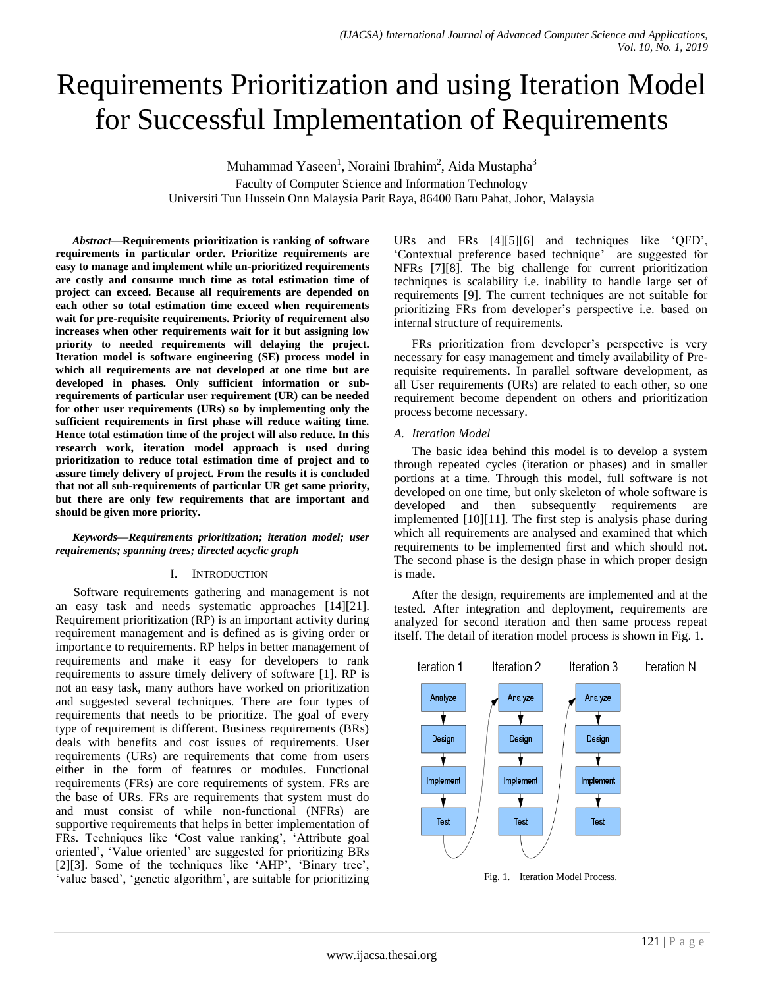# Requirements Prioritization and using Iteration Model for Successful Implementation of Requirements

Muhammad Yaseen<sup>1</sup>, Noraini Ibrahim<sup>2</sup>, Aida Mustapha<sup>3</sup> Faculty of Computer Science and Information Technology Universiti Tun Hussein Onn Malaysia Parit Raya, 86400 Batu Pahat, Johor, Malaysia

*Abstract***—Requirements prioritization is ranking of software requirements in particular order. Prioritize requirements are easy to manage and implement while un-prioritized requirements are costly and consume much time as total estimation time of project can exceed. Because all requirements are depended on each other so total estimation time exceed when requirements wait for pre-requisite requirements. Priority of requirement also increases when other requirements wait for it but assigning low priority to needed requirements will delaying the project. Iteration model is software engineering (SE) process model in which all requirements are not developed at one time but are developed in phases. Only sufficient information or subrequirements of particular user requirement (UR) can be needed for other user requirements (URs) so by implementing only the sufficient requirements in first phase will reduce waiting time. Hence total estimation time of the project will also reduce. In this research work, iteration model approach is used during prioritization to reduce total estimation time of project and to assure timely delivery of project. From the results it is concluded that not all sub-requirements of particular UR get same priority, but there are only few requirements that are important and should be given more priority.**

*Keywords—Requirements prioritization; iteration model; user requirements; spanning trees; directed acyclic graph*

# I. INTRODUCTION

Software requirements gathering and management is not an easy task and needs systematic approaches [14][21]. Requirement prioritization (RP) is an important activity during requirement management and is defined as is giving order or importance to requirements. RP helps in better management of requirements and make it easy for developers to rank requirements to assure timely delivery of software [1]. RP is not an easy task, many authors have worked on prioritization and suggested several techniques. There are four types of requirements that needs to be prioritize. The goal of every type of requirement is different. Business requirements (BRs) deals with benefits and cost issues of requirements. User requirements (URs) are requirements that come from users either in the form of features or modules. Functional requirements (FRs) are core requirements of system. FRs are the base of URs. FRs are requirements that system must do and must consist of while non-functional (NFRs) are supportive requirements that helps in better implementation of FRs. Techniques like 'Cost value ranking', 'Attribute goal oriented", "Value oriented" are suggested for prioritizing BRs [2][3]. Some of the techniques like 'AHP', 'Binary tree', 'value based', 'genetic algorithm', are suitable for prioritizing URs and FRs [4][5][6] and techniques like "QFD", "Contextual preference based technique" are suggested for NFRs [7][8]. The big challenge for current prioritization techniques is scalability i.e. inability to handle large set of requirements [9]. The current techniques are not suitable for prioritizing FRs from developer"s perspective i.e. based on internal structure of requirements.

FRs prioritization from developer's perspective is very necessary for easy management and timely availability of Prerequisite requirements. In parallel software development, as all User requirements (URs) are related to each other, so one requirement become dependent on others and prioritization process become necessary.

## *A. Iteration Model*

The basic idea behind this model is to develop a system through repeated cycles (iteration or phases) and in smaller portions at a time. Through this model, full software is not developed on one time, but only skeleton of whole software is developed and then subsequently requirements are implemented [10][11]. The first step is analysis phase during which all requirements are analysed and examined that which requirements to be implemented first and which should not. The second phase is the design phase in which proper design is made.

After the design, requirements are implemented and at the tested. After integration and deployment, requirements are analyzed for second iteration and then same process repeat itself. The detail of iteration model process is shown in Fig. 1.



Fig. 1. Iteration Model Process.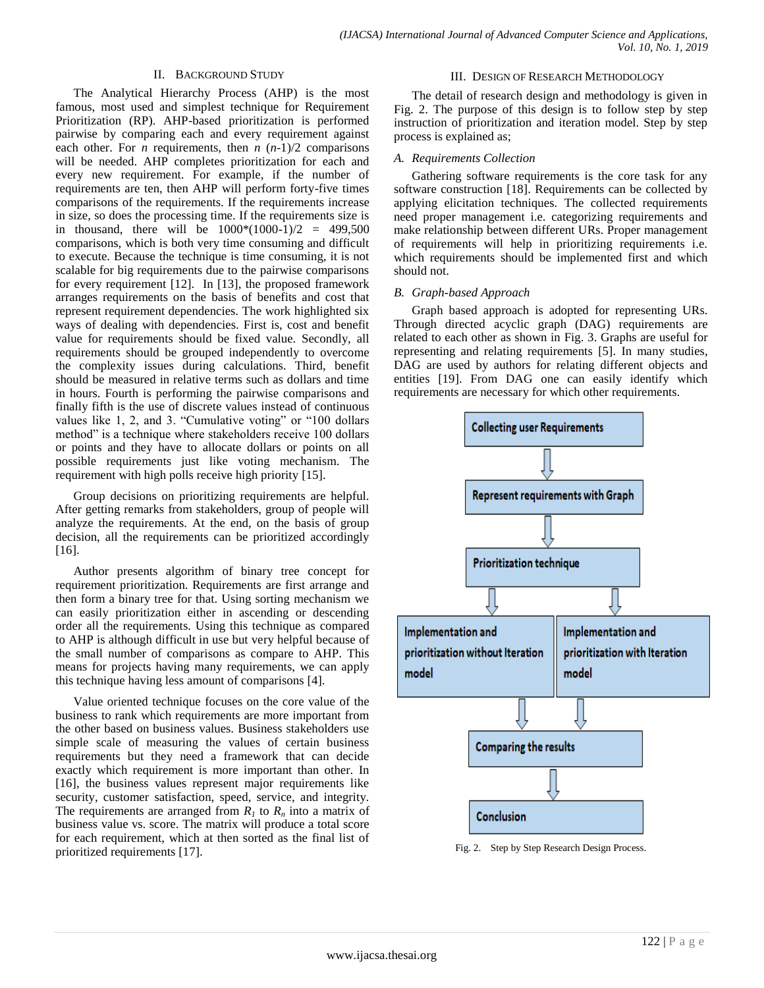# II. BACKGROUND STUDY

The Analytical Hierarchy Process (AHP) is the most famous, most used and simplest technique for Requirement Prioritization (RP). AHP-based prioritization is performed pairwise by comparing each and every requirement against each other. For *n* requirements, then  $n (n-1)/2$  comparisons will be needed. AHP completes prioritization for each and every new requirement. For example, if the number of requirements are ten, then AHP will perform forty-five times comparisons of the requirements. If the requirements increase in size, so does the processing time. If the requirements size is in thousand, there will be  $1000*(1000-1)/2 = 499,500$ comparisons, which is both very time consuming and difficult to execute. Because the technique is time consuming, it is not scalable for big requirements due to the pairwise comparisons for every requirement [12]. In [13], the proposed framework arranges requirements on the basis of benefits and cost that represent requirement dependencies. The work highlighted six ways of dealing with dependencies. First is, cost and benefit value for requirements should be fixed value. Secondly, all requirements should be grouped independently to overcome the complexity issues during calculations. Third, benefit should be measured in relative terms such as dollars and time in hours. Fourth is performing the pairwise comparisons and finally fifth is the use of discrete values instead of continuous values like 1, 2, and 3. "Cumulative voting" or "100 dollars method" is a technique where stakeholders receive 100 dollars or points and they have to allocate dollars or points on all possible requirements just like voting mechanism. The requirement with high polls receive high priority [15].

Group decisions on prioritizing requirements are helpful. After getting remarks from stakeholders, group of people will analyze the requirements. At the end, on the basis of group decision, all the requirements can be prioritized accordingly [16].

Author presents algorithm of binary tree concept for requirement prioritization. Requirements are first arrange and then form a binary tree for that. Using sorting mechanism we can easily prioritization either in ascending or descending order all the requirements. Using this technique as compared to AHP is although difficult in use but very helpful because of the small number of comparisons as compare to AHP. This means for projects having many requirements, we can apply this technique having less amount of comparisons [4].

Value oriented technique focuses on the core value of the business to rank which requirements are more important from the other based on business values. Business stakeholders use simple scale of measuring the values of certain business requirements but they need a framework that can decide exactly which requirement is more important than other. In [16], the business values represent major requirements like security, customer satisfaction, speed, service, and integrity. The requirements are arranged from  $R_I$  to  $R_n$  into a matrix of business value vs. score. The matrix will produce a total score for each requirement, which at then sorted as the final list of prioritized requirements [17].

## III. DESIGN OF RESEARCH METHODOLOGY

The detail of research design and methodology is given in Fig. 2. The purpose of this design is to follow step by step instruction of prioritization and iteration model. Step by step process is explained as;

# *A. Requirements Collection*

Gathering software requirements is the core task for any software construction [18]. Requirements can be collected by applying elicitation techniques. The collected requirements need proper management i.e. categorizing requirements and make relationship between different URs. Proper management of requirements will help in prioritizing requirements i.e. which requirements should be implemented first and which should not.

## *B. Graph-based Approach*

Graph based approach is adopted for representing URs. Through directed acyclic graph (DAG) requirements are related to each other as shown in Fig. 3. Graphs are useful for representing and relating requirements [5]. In many studies, DAG are used by authors for relating different objects and entities [19]. From DAG one can easily identify which requirements are necessary for which other requirements.



Fig. 2. Step by Step Research Design Process.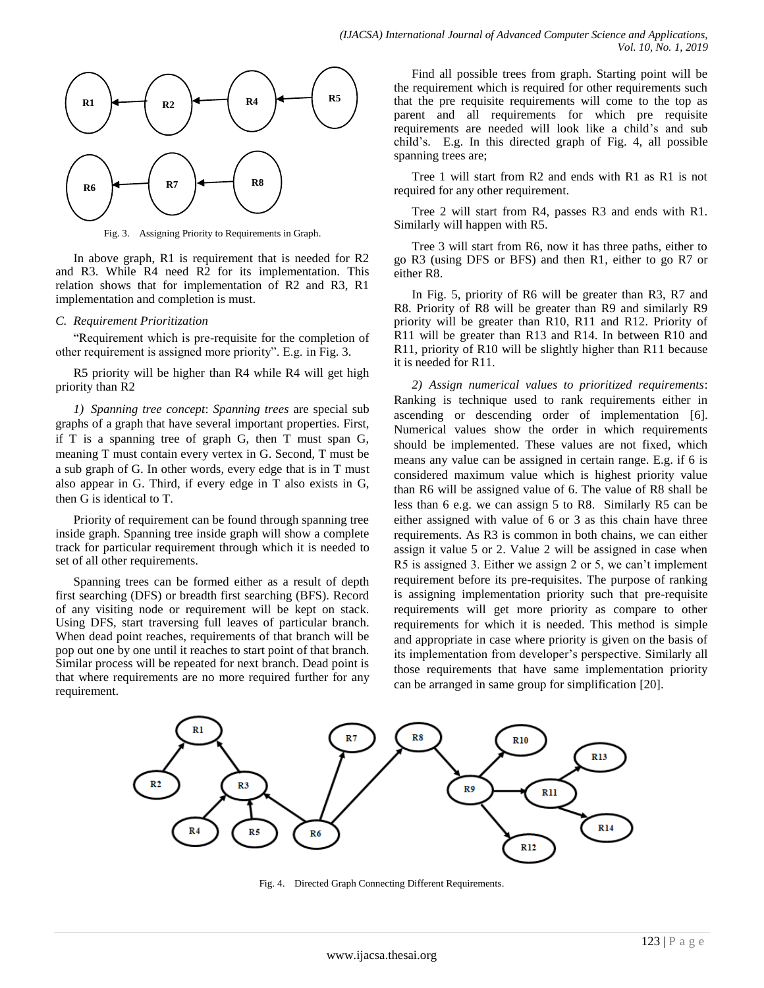

Fig. 3. Assigning Priority to Requirements in Graph.

In above graph, R1 is requirement that is needed for R2 and R3. While R4 need R2 for its implementation. This relation shows that for implementation of R2 and R3, R1 implementation and completion is must.

## *C. Requirement Prioritization*

"Requirement which is pre-requisite for the completion of other requirement is assigned more priority". E.g. in Fig. 3.

R5 priority will be higher than R4 while R4 will get high priority than R2

*1) Spanning tree concept*: *Spanning trees* are special sub graphs of a graph that have several important properties. First, if T is a spanning tree of graph G, then T must span G, meaning T must contain every vertex in G. Second, T must be a sub graph of G. In other words, every edge that is in T must also appear in G. Third, if every edge in T also exists in G, then G is identical to T.

Priority of requirement can be found through spanning tree inside graph. Spanning tree inside graph will show a complete track for particular requirement through which it is needed to set of all other requirements.

Spanning trees can be formed either as a result of depth first searching (DFS) or breadth first searching (BFS). Record of any visiting node or requirement will be kept on stack. Using DFS, start traversing full leaves of particular branch. When dead point reaches, requirements of that branch will be pop out one by one until it reaches to start point of that branch. Similar process will be repeated for next branch. Dead point is that where requirements are no more required further for any requirement.

Find all possible trees from graph. Starting point will be the requirement which is required for other requirements such that the pre requisite requirements will come to the top as parent and all requirements for which pre requisite requirements are needed will look like a child"s and sub child"s. E.g. In this directed graph of Fig. 4, all possible spanning trees are;

Tree 1 will start from R2 and ends with R1 as R1 is not required for any other requirement.

Tree 2 will start from R4, passes R3 and ends with R1. Similarly will happen with R5.

Tree 3 will start from R6, now it has three paths, either to go R3 (using DFS or BFS) and then R1, either to go R7 or either R8.

In Fig. 5, priority of R6 will be greater than R3, R7 and R8. Priority of R8 will be greater than R9 and similarly R9 priority will be greater than R10, R11 and R12. Priority of R11 will be greater than R13 and R14. In between R10 and R11, priority of R10 will be slightly higher than R11 because it is needed for R11.

*2) Assign numerical values to prioritized requirements*: Ranking is technique used to rank requirements either in ascending or descending order of implementation [6]. Numerical values show the order in which requirements should be implemented. These values are not fixed, which means any value can be assigned in certain range. E.g. if 6 is considered maximum value which is highest priority value than R6 will be assigned value of 6. The value of R8 shall be less than 6 e.g. we can assign 5 to R8. Similarly R5 can be either assigned with value of 6 or 3 as this chain have three requirements. As R3 is common in both chains, we can either assign it value 5 or 2. Value 2 will be assigned in case when R5 is assigned 3. Either we assign 2 or 5, we can't implement requirement before its pre-requisites. The purpose of ranking is assigning implementation priority such that pre-requisite requirements will get more priority as compare to other requirements for which it is needed. This method is simple and appropriate in case where priority is given on the basis of its implementation from developer"s perspective. Similarly all those requirements that have same implementation priority can be arranged in same group for simplification [20].



Fig. 4. Directed Graph Connecting Different Requirements.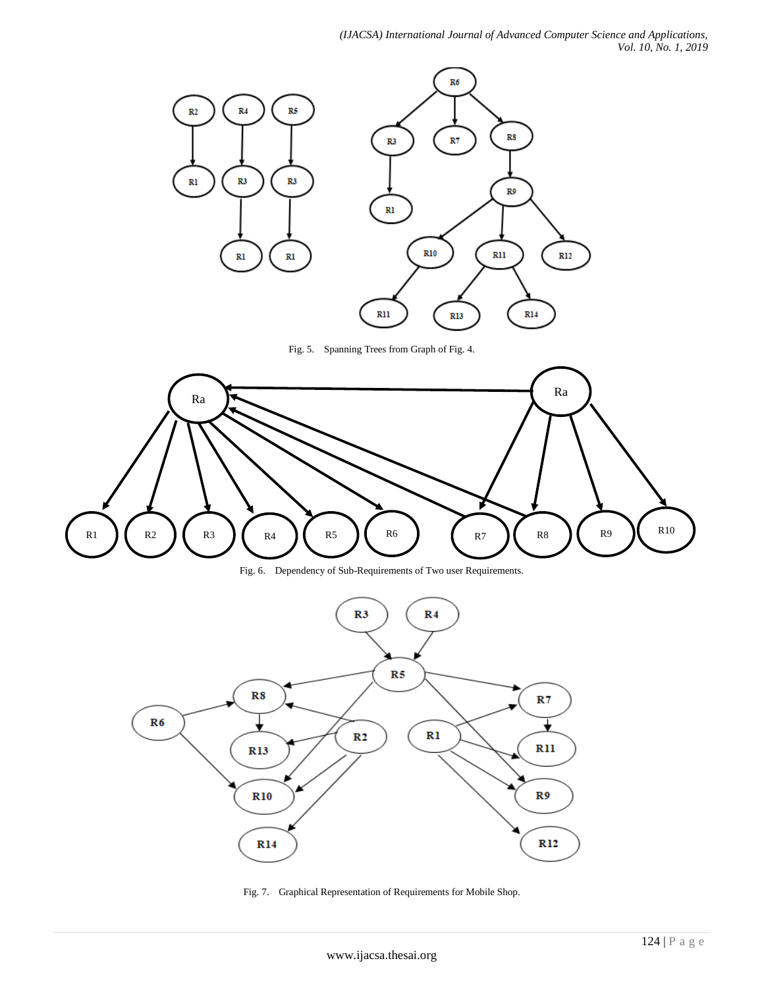# *(IJACSA) International Journal of Advanced Computer Science and Applications, Vol. 10, No. 1, 2019*



Fig. 5. Spanning Trees from Graph of Fig. 4.



Fig. 6. Dependency of Sub-Requirements of Two user Requirements.



Fig. 7. Graphical Representation of Requirements for Mobile Shop.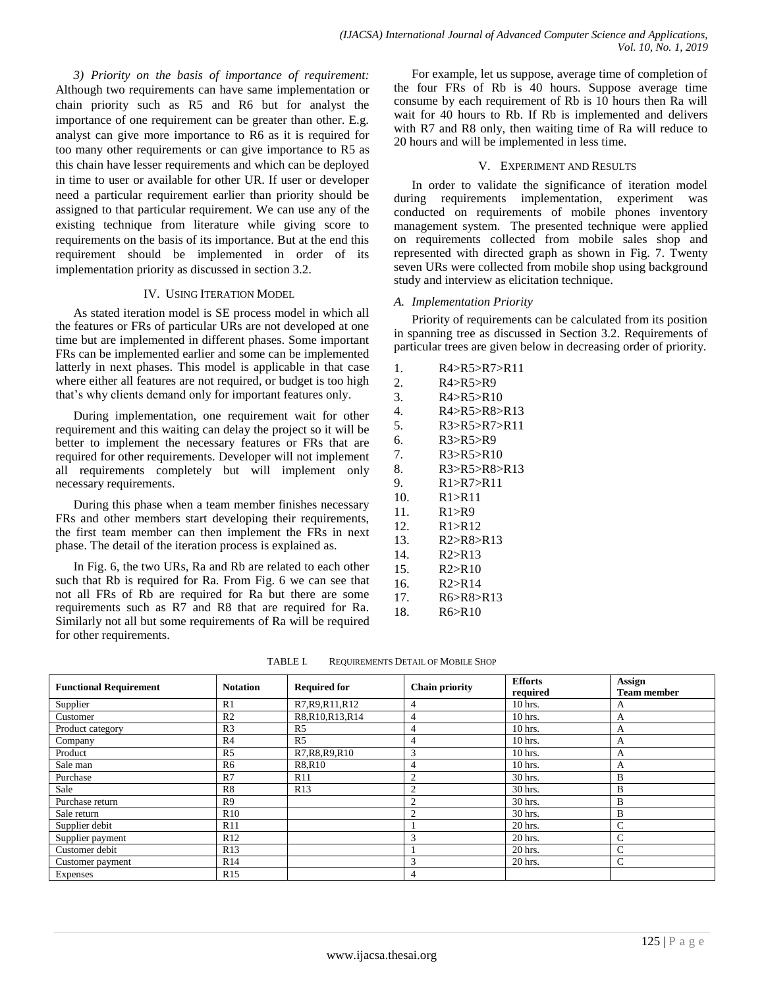*3) Priority on the basis of importance of requirement:*  Although two requirements can have same implementation or chain priority such as R5 and R6 but for analyst the importance of one requirement can be greater than other. E.g. analyst can give more importance to R6 as it is required for too many other requirements or can give importance to R5 as this chain have lesser requirements and which can be deployed in time to user or available for other UR. If user or developer need a particular requirement earlier than priority should be assigned to that particular requirement. We can use any of the existing technique from literature while giving score to requirements on the basis of its importance. But at the end this requirement should be implemented in order of its implementation priority as discussed in section 3.2.

## IV. USING ITERATION MODEL

As stated iteration model is SE process model in which all the features or FRs of particular URs are not developed at one time but are implemented in different phases. Some important FRs can be implemented earlier and some can be implemented latterly in next phases. This model is applicable in that case where either all features are not required, or budget is too high that"s why clients demand only for important features only.

During implementation, one requirement wait for other requirement and this waiting can delay the project so it will be better to implement the necessary features or FRs that are required for other requirements. Developer will not implement all requirements completely but will implement only necessary requirements.

During this phase when a team member finishes necessary FRs and other members start developing their requirements, the first team member can then implement the FRs in next phase. The detail of the iteration process is explained as.

In Fig. 6, the two URs, Ra and Rb are related to each other such that Rb is required for Ra. From Fig. 6 we can see that not all FRs of Rb are required for Ra but there are some requirements such as R7 and R8 that are required for Ra. Similarly not all but some requirements of Ra will be required for other requirements.

For example, let us suppose, average time of completion of the four FRs of Rb is 40 hours. Suppose average time consume by each requirement of Rb is 10 hours then Ra will wait for 40 hours to Rb. If Rb is implemented and delivers with R7 and R8 only, then waiting time of Ra will reduce to 20 hours and will be implemented in less time.

## V. EXPERIMENT AND RESULTS

In order to validate the significance of iteration model during requirements implementation, experiment was conducted on requirements of mobile phones inventory management system. The presented technique were applied on requirements collected from mobile sales shop and represented with directed graph as shown in Fig. 7. Twenty seven URs were collected from mobile shop using background study and interview as elicitation technique.

## *A. Implementation Priority*

Priority of requirements can be calculated from its position in spanning tree as discussed in Section 3.2. Requirements of particular trees are given below in decreasing order of priority.

- 1. R4>R5>R7>R11 2. R4>R5>R9 3. R4>R5>R10 4. R4>R5>R8>R13 5. R3>R5>R7>R11 6. R3>R5>R9 7. R3>R5>R10 8. R3>R5>R8>R13 9. R1>R7>R11 10. R1>R11 11. R1>R9 12. R1>R12 13. R2>R8>R13 14. R2>R13 15. R2>R10 16. R2>R14 17. R6>R8>R13
- 18. R6>R10

| TABLE I. | REQUIREMENTS DETAIL OF MOBILE SHOP |
|----------|------------------------------------|
|          |                                    |

| <b>Functional Requirement</b> | <b>Notation</b> | <b>Required for</b> | <b>Chain priority</b> | <b>Efforts</b><br>required | Assign<br><b>Team member</b> |
|-------------------------------|-----------------|---------------------|-----------------------|----------------------------|------------------------------|
| Supplier                      | R1              | R7, R9, R11, R12    | $\overline{4}$        | 10 hrs.                    | A                            |
| Customer                      | R <sub>2</sub>  | R8,R10,R13,R14      | 4                     | $10$ hrs.                  | A                            |
| Product category              | R <sub>3</sub>  | R <sub>5</sub>      | 4                     | $10$ hrs.                  | А                            |
| Company                       | R <sub>4</sub>  | R <sub>5</sub>      | 4                     | $10$ hrs.                  | А                            |
| Product                       | R <sub>5</sub>  | R7, R8, R9, R10     | 3                     | $10$ hrs.                  | А                            |
| Sale man                      | R <sub>6</sub>  | R8,R10              | 4                     | $10$ hrs.                  | А                            |
| Purchase                      | R7              | R11                 | $\overline{2}$        | 30 hrs.                    | B                            |
| Sale                          | R8              | R13                 | $\overline{2}$        | 30 hrs.                    | B                            |
| Purchase return               | R <sub>9</sub>  |                     | $\overline{c}$        | 30 hrs.                    | B                            |
| Sale return                   | R10             |                     | $\overline{2}$        | 30 hrs.                    | B                            |
| Supplier debit                | R11             |                     |                       | 20 hrs.                    | $\mathsf{C}$                 |
| Supplier payment              | R12             |                     | 3                     | 20 hrs.                    | $\mathsf{C}$                 |
| Customer debit                | R13             |                     |                       | 20 hrs.                    | $\mathbf C$                  |
| Customer payment              | R14             |                     | 3                     | 20 hrs.                    | C                            |
| Expenses                      | R15             |                     | 4                     |                            |                              |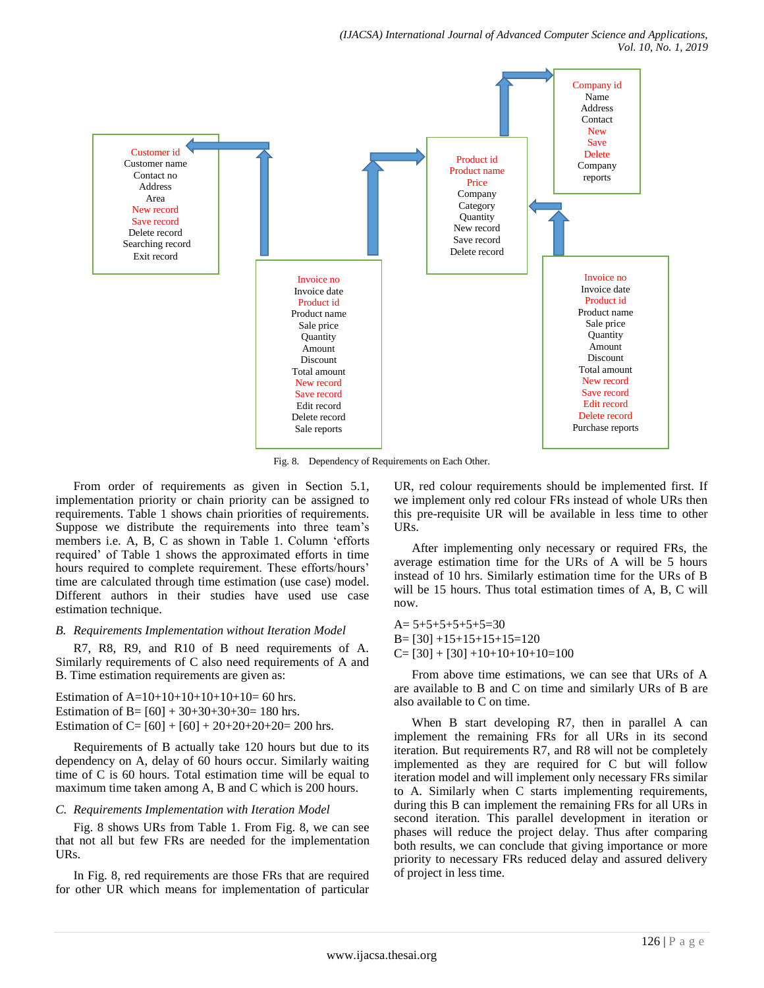

Fig. 8. Dependency of Requirements on Each Other.

From order of requirements as given in Section 5.1, implementation priority or chain priority can be assigned to requirements. Table 1 shows chain priorities of requirements. Suppose we distribute the requirements into three team"s members i.e. A, B, C as shown in Table 1. Column "efforts required" of Table 1 shows the approximated efforts in time hours required to complete requirement. These efforts/hours' time are calculated through time estimation (use case) model. Different authors in their studies have used use case estimation technique.

#### *B. Requirements Implementation without Iteration Model*

R7, R8, R9, and R10 of B need requirements of A. Similarly requirements of C also need requirements of A and B. Time estimation requirements are given as:

Estimation of  $A=10+10+10+10+10+10=60$  hrs. Estimation of B=  $[60] + 30+30+30+30= 180$  hrs. Estimation of C=  $[60] + [60] + 20 + 20 + 20 + 20 = 200$  hrs.

Requirements of B actually take 120 hours but due to its dependency on A, delay of 60 hours occur. Similarly waiting time of C is 60 hours. Total estimation time will be equal to maximum time taken among A, B and C which is 200 hours.

# *C. Requirements Implementation with Iteration Model*

Fig. 8 shows URs from Table 1. From Fig. 8, we can see that not all but few FRs are needed for the implementation URs.

In Fig. 8, red requirements are those FRs that are required for other UR which means for implementation of particular UR, red colour requirements should be implemented first. If we implement only red colour FRs instead of whole URs then this pre-requisite UR will be available in less time to other URs.

After implementing only necessary or required FRs, the average estimation time for the URs of A will be 5 hours instead of 10 hrs. Similarly estimation time for the URs of B will be 15 hours. Thus total estimation times of A, B, C will now.

 $A= 5+5+5+5+5+5=30$  $B = [30] + 15 + 15 + 15 + 15 = 120$  $C=[30]+[30]+10+10+10+10=100$ 

From above time estimations, we can see that URs of A are available to B and C on time and similarly URs of B are also available to C on time.

When B start developing R7, then in parallel A can implement the remaining FRs for all URs in its second iteration. But requirements R7, and R8 will not be completely implemented as they are required for C but will follow iteration model and will implement only necessary FRs similar to A. Similarly when C starts implementing requirements, during this B can implement the remaining FRs for all URs in second iteration. This parallel development in iteration or phases will reduce the project delay. Thus after comparing both results, we can conclude that giving importance or more priority to necessary FRs reduced delay and assured delivery of project in less time.